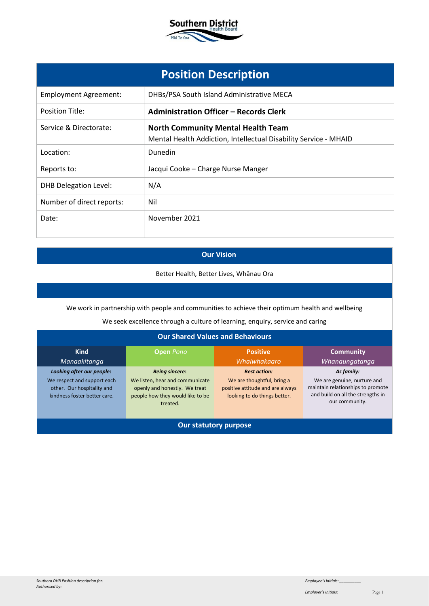

|                              | <b>Position Description</b>                                                                                   |
|------------------------------|---------------------------------------------------------------------------------------------------------------|
| <b>Employment Agreement:</b> | DHBs/PSA South Island Administrative MECA                                                                     |
| <b>Position Title:</b>       | <b>Administration Officer - Records Clerk</b>                                                                 |
| Service & Directorate:       | <b>North Community Mental Health Team</b><br>Mental Health Addiction, Intellectual Disability Service - MHAID |
| Location:                    | Dunedin                                                                                                       |
| Reports to:                  | Jacqui Cooke - Charge Nurse Manger                                                                            |
| <b>DHB Delegation Level:</b> | N/A                                                                                                           |
| Number of direct reports:    | Nil                                                                                                           |
| Date:                        | November 2021                                                                                                 |

# **Our Vision**

Better Health, Better Lives, Whānau Ora

We work in partnership with people and communities to achieve their optimum health and wellbeing

We seek excellence through a culture of learning, enquiry, service and caring

## **Our Shared Values and Behaviours**

| <b>Kind</b><br>Manaakitanga                                                               | <b>Open Pono</b>                                                                                                 | <b>Positive</b><br>Whaiwhakaaro                                                                | <b>Community</b><br>Whanaungatanga                                                                                      |
|-------------------------------------------------------------------------------------------|------------------------------------------------------------------------------------------------------------------|------------------------------------------------------------------------------------------------|-------------------------------------------------------------------------------------------------------------------------|
| Looking after our people:                                                                 | <b>Being sincere:</b>                                                                                            | <b>Best action:</b>                                                                            | As family:                                                                                                              |
| We respect and support each<br>other. Our hospitality and<br>kindness foster better care. | We listen, hear and communicate<br>openly and honestly. We treat<br>people how they would like to be<br>treated. | We are thoughtful, bring a<br>positive attitude and are always<br>looking to do things better. | We are genuine, nurture and<br>maintain relationships to promote<br>and build on all the strengths in<br>our community. |
| Our statutory purpose                                                                     |                                                                                                                  |                                                                                                |                                                                                                                         |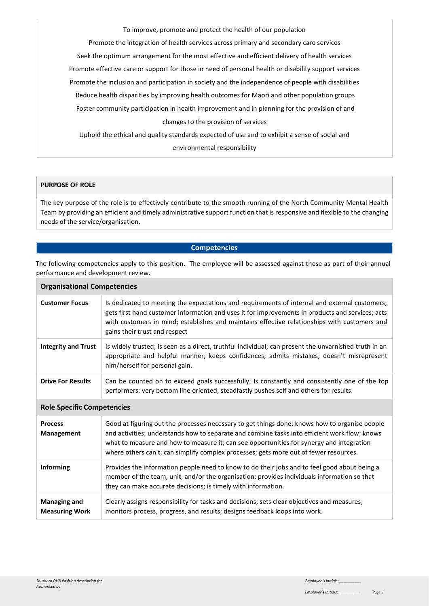To improve, promote and protect the health of our population

Promote the integration of health services across primary and secondary care services

Seek the optimum arrangement for the most effective and efficient delivery of health services

Promote effective care or support for those in need of personal health or disability support services

Promote the inclusion and participation in society and the independence of people with disabilities

Reduce health disparities by improving health outcomes for Māori and other population groups

Foster community participation in health improvement and in planning for the provision of and changes to the provision of services

Uphold the ethical and quality standards expected of use and to exhibit a sense of social and environmental responsibility

#### **PURPOSE OF ROLE**

The key purpose of the role is to effectively contribute to the smooth running of the North Community Mental Health Team by providing an efficient and timely administrative support function that is responsive and flexible to the changing needs of the service/organisation.

### **Competencies**

The following competencies apply to this position. The employee will be assessed against these as part of their annual performance and development review.

| <b>Organisational Competencies</b>           |                                                                                                                                                                                                                                                                                                                                                                                     |  |
|----------------------------------------------|-------------------------------------------------------------------------------------------------------------------------------------------------------------------------------------------------------------------------------------------------------------------------------------------------------------------------------------------------------------------------------------|--|
| <b>Customer Focus</b>                        | Is dedicated to meeting the expectations and requirements of internal and external customers;<br>gets first hand customer information and uses it for improvements in products and services; acts<br>with customers in mind; establishes and maintains effective relationships with customers and<br>gains their trust and respect                                                  |  |
| <b>Integrity and Trust</b>                   | Is widely trusted; is seen as a direct, truthful individual; can present the unvarnished truth in an<br>appropriate and helpful manner; keeps confidences; admits mistakes; doesn't misrepresent<br>him/herself for personal gain.                                                                                                                                                  |  |
| <b>Drive For Results</b>                     | Can be counted on to exceed goals successfully; Is constantly and consistently one of the top<br>performers; very bottom line oriented; steadfastly pushes self and others for results.                                                                                                                                                                                             |  |
| <b>Role Specific Competencies</b>            |                                                                                                                                                                                                                                                                                                                                                                                     |  |
| <b>Process</b><br>Management                 | Good at figuring out the processes necessary to get things done; knows how to organise people<br>and activities; understands how to separate and combine tasks into efficient work flow; knows<br>what to measure and how to measure it; can see opportunities for synergy and integration<br>where others can't; can simplify complex processes; gets more out of fewer resources. |  |
| <b>Informing</b>                             | Provides the information people need to know to do their jobs and to feel good about being a<br>member of the team, unit, and/or the organisation; provides individuals information so that<br>they can make accurate decisions; is timely with information.                                                                                                                        |  |
| <b>Managing and</b><br><b>Measuring Work</b> | Clearly assigns responsibility for tasks and decisions; sets clear objectives and measures;<br>monitors process, progress, and results; designs feedback loops into work.                                                                                                                                                                                                           |  |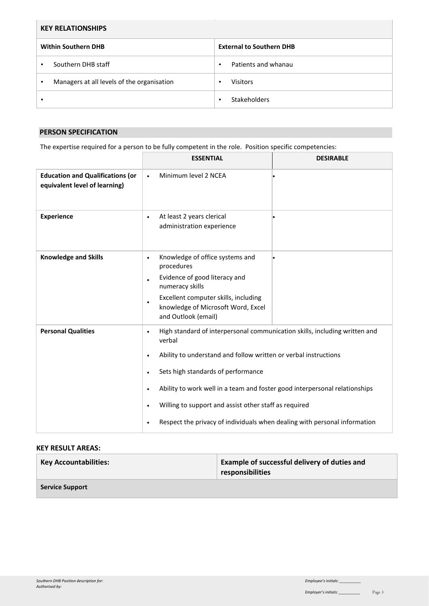| <b>KEY RELATIONSHIPS</b> |                                            |           |                                 |
|--------------------------|--------------------------------------------|-----------|---------------------------------|
|                          | <b>Within Southern DHB</b>                 |           | <b>External to Southern DHB</b> |
|                          | Southern DHB staff                         | ٠         | Patients and whanau             |
|                          | Managers at all levels of the organisation | ٠         | <b>Visitors</b>                 |
|                          |                                            | $\bullet$ | <b>Stakeholders</b>             |

### **PERSON SPECIFICATION**

The expertise required for a person to be fully competent in the role. Position specific competencies:

|                                                                          | <b>ESSENTIAL</b>                                                                                                                                                                                                                                                                                                                                                                                                                                                                | <b>DESIRABLE</b> |
|--------------------------------------------------------------------------|---------------------------------------------------------------------------------------------------------------------------------------------------------------------------------------------------------------------------------------------------------------------------------------------------------------------------------------------------------------------------------------------------------------------------------------------------------------------------------|------------------|
| <b>Education and Qualifications (or</b><br>equivalent level of learning) | Minimum level 2 NCEA<br>$\bullet$                                                                                                                                                                                                                                                                                                                                                                                                                                               |                  |
| <b>Experience</b>                                                        | At least 2 years clerical<br>$\bullet$<br>administration experience                                                                                                                                                                                                                                                                                                                                                                                                             |                  |
| <b>Knowledge and Skills</b>                                              | Knowledge of office systems and<br>$\bullet$<br>procedures<br>Evidence of good literacy and<br>$\bullet$<br>numeracy skills<br>Excellent computer skills, including<br>$\bullet$<br>knowledge of Microsoft Word, Excel<br>and Outlook (email)                                                                                                                                                                                                                                   |                  |
| <b>Personal Qualities</b>                                                | High standard of interpersonal communication skills, including written and<br>$\bullet$<br>verbal<br>Ability to understand and follow written or verbal instructions<br>٠<br>Sets high standards of performance<br>$\bullet$<br>Ability to work well in a team and foster good interpersonal relationships<br>$\bullet$<br>Willing to support and assist other staff as required<br>$\bullet$<br>Respect the privacy of individuals when dealing with personal information<br>٠ |                  |

## **KEY RESULT AREAS:**

| <b>Key Accountabilities:</b> | <b>Example of successful delivery of duties and</b><br>responsibilities |
|------------------------------|-------------------------------------------------------------------------|
| <b>Service Support</b>       |                                                                         |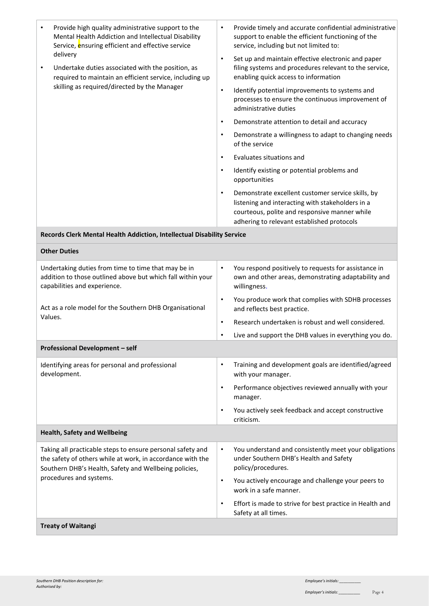| Provide high quality administrative support to the<br>$\bullet$<br>Mental Health Addiction and Intellectual Disability<br>Service, ensuring efficient and effective service           | Provide timely and accurate confidential administrative<br>$\bullet$<br>support to enable the efficient functioning of the<br>service, including but not limited to:                                              |
|---------------------------------------------------------------------------------------------------------------------------------------------------------------------------------------|-------------------------------------------------------------------------------------------------------------------------------------------------------------------------------------------------------------------|
| delivery<br>Undertake duties associated with the position, as<br>$\bullet$<br>required to maintain an efficient service, including up<br>skilling as required/directed by the Manager | $\bullet$<br>Set up and maintain effective electronic and paper<br>filing systems and procedures relevant to the service,<br>enabling quick access to information                                                 |
|                                                                                                                                                                                       | Identify potential improvements to systems and<br>$\bullet$<br>processes to ensure the continuous improvement of<br>administrative duties                                                                         |
|                                                                                                                                                                                       | Demonstrate attention to detail and accuracy<br>$\bullet$                                                                                                                                                         |
|                                                                                                                                                                                       | Demonstrate a willingness to adapt to changing needs<br>$\bullet$<br>of the service                                                                                                                               |
|                                                                                                                                                                                       | Evaluates situations and<br>$\bullet$                                                                                                                                                                             |
|                                                                                                                                                                                       | Identify existing or potential problems and<br>$\bullet$<br>opportunities                                                                                                                                         |
|                                                                                                                                                                                       | $\bullet$<br>Demonstrate excellent customer service skills, by<br>listening and interacting with stakeholders in a<br>courteous, polite and responsive manner while<br>adhering to relevant established protocols |
| Records Clerk Mental Health Addiction, Intellectual Disability Service                                                                                                                |                                                                                                                                                                                                                   |
| <b>Other Duties</b>                                                                                                                                                                   |                                                                                                                                                                                                                   |
| Undertaking duties from time to time that may be in<br>addition to those outlined above but which fall within your<br>capabilities and experience.                                    | You respond positively to requests for assistance in<br>$\bullet$<br>own and other areas, demonstrating adaptability and<br>willingness.                                                                          |
| Act as a role model for the Southern DHB Organisational                                                                                                                               | You produce work that complies with SDHB processes<br>$\bullet$<br>and reflects best practice.                                                                                                                    |
| Values.                                                                                                                                                                               | Research undertaken is robust and well considered.<br>$\bullet$                                                                                                                                                   |
|                                                                                                                                                                                       | Live and support the DHB values in everything you do.<br>$\bullet$                                                                                                                                                |
| Professional Development - self                                                                                                                                                       |                                                                                                                                                                                                                   |
| Identifying areas for personal and professional<br>development.                                                                                                                       | Training and development goals are identified/agreed<br>٠<br>with your manager.                                                                                                                                   |
|                                                                                                                                                                                       | Performance objectives reviewed annually with your<br>$\bullet$<br>manager.                                                                                                                                       |
|                                                                                                                                                                                       | You actively seek feedback and accept constructive<br>$\bullet$<br>criticism.                                                                                                                                     |
| <b>Health, Safety and Wellbeing</b>                                                                                                                                                   |                                                                                                                                                                                                                   |
| Taking all practicable steps to ensure personal safety and<br>the safety of others while at work, in accordance with the                                                              | You understand and consistently meet your obligations<br>$\bullet$<br>under Southern DHB's Health and Safety                                                                                                      |

**Treaty of Waitangi** 

procedures and systems.

the safety of others while at work, in accordance with the Southern DHB's Health, Safety and Wellbeing policies,

• You actively encourage and challenge your peers to

• Effort is made to strive for best practice in Health and

policy/procedures.

Safety at all times.

work in a safe manner.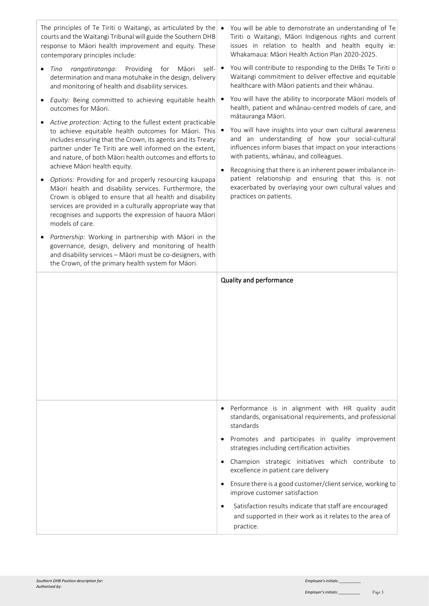| The principles of Te Tiriti o Waitangi, as articulated by the $\bullet$<br>courts and the Waitangi Tribunal will guide the Southern DHB<br>response to Māori health improvement and equity. These<br>contemporary principles include:                                                                                                      | You will be able to demonstrate an understanding of Te<br>Tiriti o Waitangi, Māori Indigenous rights and current<br>issues in relation to health and health equity ie:<br>Whakamaua: Māori Health Action Plan 2020-2025. |
|--------------------------------------------------------------------------------------------------------------------------------------------------------------------------------------------------------------------------------------------------------------------------------------------------------------------------------------------|--------------------------------------------------------------------------------------------------------------------------------------------------------------------------------------------------------------------------|
| Providing<br>for<br>Māori<br>self-<br>rangatiratanga:<br>Tino<br>determination and mana motuhake in the design, delivery<br>and monitoring of health and disability services.                                                                                                                                                              | You will contribute to responding to the DHBs Te Tiriti o<br>$\bullet$<br>Waitangi commitment to deliver effective and equitable<br>healthcare with Māori patients and their whānau.                                     |
| Equity: Being committed to achieving equitable health<br>outcomes for Māori.                                                                                                                                                                                                                                                               | You will have the ability to incorporate Māori models of<br>health, patient and whanau-centred models of care, and<br>mātauranga Māori.                                                                                  |
| Active protection: Acting to the fullest extent practicable<br>to achieve equitable health outcomes for Māori. This<br>includes ensuring that the Crown, its agents and its Treaty<br>partner under Te Tiriti are well informed on the extent,<br>and nature, of both Māori health outcomes and efforts to<br>achieve Māori health equity. | You will have insights into your own cultural awareness<br>and an understanding of how your social-cultural<br>influences inform biases that impact on your interactions<br>with patients, whānau, and colleagues.       |
| Options: Providing for and properly resourcing kaupapa<br>Māori health and disability services. Furthermore, the<br>Crown is obliged to ensure that all health and disability<br>services are provided in a culturally appropriate way that<br>recognises and supports the expression of hauora Māori<br>models of care.                   | Recognising that there is an inherent power imbalance in-<br>$\bullet$<br>patient relationship and ensuring that this is not<br>exacerbated by overlaying your own cultural values and<br>practices on patients.         |
| Partnership: Working in partnership with Māori in the<br>$\bullet$<br>governance, design, delivery and monitoring of health<br>and disability services - Māori must be co-designers, with<br>the Crown, of the primary health system for Māori.                                                                                            |                                                                                                                                                                                                                          |
|                                                                                                                                                                                                                                                                                                                                            |                                                                                                                                                                                                                          |
|                                                                                                                                                                                                                                                                                                                                            | Quality and performance                                                                                                                                                                                                  |
|                                                                                                                                                                                                                                                                                                                                            | Performance is in alignment with HR quality audit<br>$\bullet$<br>standards, organisational requirements, and professional<br>standards<br>Promotes and participates in quality improvement                              |
|                                                                                                                                                                                                                                                                                                                                            | strategies including certification activities<br>Champion strategic initiatives which contribute to                                                                                                                      |
|                                                                                                                                                                                                                                                                                                                                            | excellence in patient care delivery<br>Ensure there is a good customer/client service, working to<br>improve customer satisfaction                                                                                       |